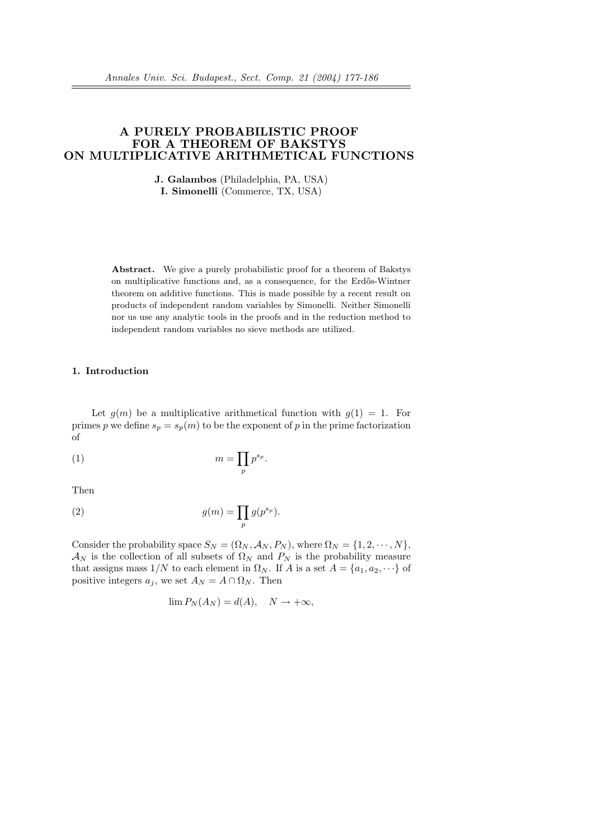# A PURELY PROBABILISTIC PROOF FOR A THEOREM OF BAKSTYS ON MULTIPLICATIVE ARITHMETICAL FUNCTIONS

J. Galambos (Philadelphia, PA, USA) I. Simonelli (Commerce, TX, USA)

Abstract. We give a purely probabilistic proof for a theorem of Bakstys on multiplicative functions and, as a consequence, for the Erd˝os-Wintner theorem on additive functions. This is made possible by a recent result on products of independent random variables by Simonelli. Neither Simonelli nor us use any analytic tools in the proofs and in the reduction method to independent random variables no sieve methods are utilized.

### 1. Introduction

Let  $g(m)$  be a multiplicative arithmetical function with  $g(1) = 1$ . For primes p we define  $s_p = s_p(m)$  to be the exponent of p in the prime factorization of

$$
(1) \t\t\t m = \prod_p p^{s_p}.
$$

Then

(2) 
$$
g(m) = \prod_p g(p^{s_p}).
$$

Consider the probability space  $S_N = (\Omega_N, \mathcal{A}_N, P_N)$ , where  $\Omega_N = \{1, 2, \cdots, N\}$ ,  $\mathcal{A}_N$  is the collection of all subsets of  $\Omega_N$  and  $P_N$  is the probability measure that assigns mass  $1/N$  to each element in  $\Omega_N$ . If A is a set  $A = \{a_1, a_2, \dots\}$  of positive integers  $a_i$ , we set  $A_N = A \cap \Omega_N$ . Then

$$
\lim P_N(A_N) = d(A), \quad N \to +\infty,
$$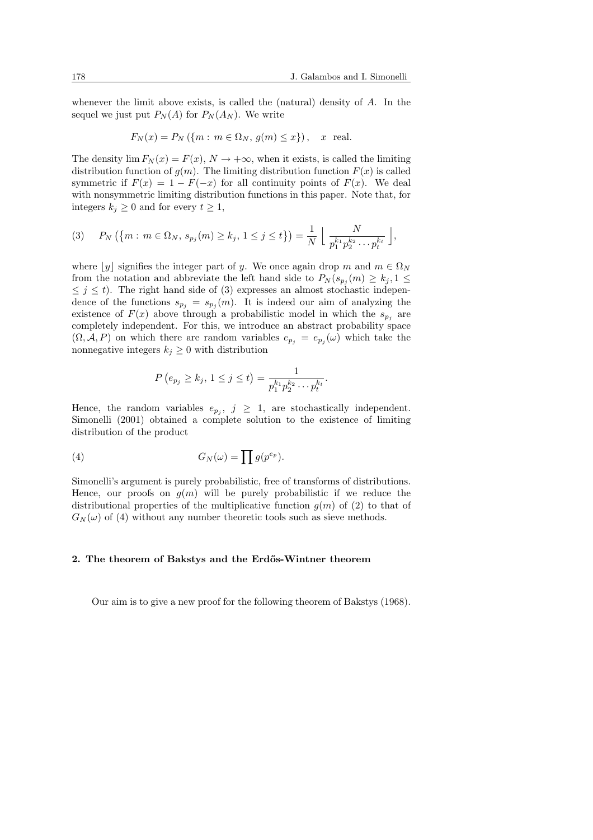whenever the limit above exists, is called the (natural) density of  $A$ . In the sequel we just put  $P_N(A)$  for  $P_N(A_N)$ . We write

$$
F_N(x) = P_N(\{m : m \in \Omega_N, g(m) \le x\}), \quad x \text{ real.}
$$

The density  $\lim F_N(x) = F(x)$ ,  $N \to +\infty$ , when it exists, is called the limiting distribution function of  $g(m)$ . The limiting distribution function  $F(x)$  is called symmetric if  $F(x) = 1 - F(-x)$  for all continuity points of  $F(x)$ . We deal with nonsymmetric limiting distribution functions in this paper. Note that, for integers  $k_i \geq 0$  and for every  $t \geq 1$ ,

$$
(3) \quad P_N(\{m : m \in \Omega_N, s_{p_j}(m) \ge k_j, 1 \le j \le t\}) = \frac{1}{N} \left[ \frac{N}{p_1^{k_1} p_2^{k_2} \cdots p_t^{k_t}} \right],
$$

where |y| signifies the integer part of y. We once again drop m and  $m \in \Omega_N$ from the notation and abbreviate the left hand side to  $P_N(s_{p_j}(m) \geq k_j, 1 \leq$  $\leq j \leq t$ ). The right hand side of (3) expresses an almost stochastic independence of the functions  $s_{p_j} = s_{p_j}(m)$ . It is indeed our aim of analyzing the existence of  $F(x)$  above through a probabilistic model in which the  $s_{p_j}$  are completely independent. For this, we introduce an abstract probability space  $(\Omega, \mathcal{A}, P)$  on which there are random variables  $e_{p_j} = e_{p_j}(\omega)$  which take the nonnegative integers  $k_i \geq 0$  with distribution

$$
P(e_{p_j} \ge k_j, 1 \le j \le t) = \frac{1}{p_1^{k_1} p_2^{k_2} \cdots p_t^{k_t}}.
$$

Hence, the random variables  $e_{p_j}, j \geq 1$ , are stochastically independent. Simonelli (2001) obtained a complete solution to the existence of limiting distribution of the product

(4) 
$$
G_N(\omega) = \prod g(p^{e_p}).
$$

Simonelli's argument is purely probabilistic, free of transforms of distributions. Hence, our proofs on  $g(m)$  will be purely probabilistic if we reduce the distributional properties of the multiplicative function  $g(m)$  of (2) to that of  $G_N(\omega)$  of (4) without any number theoretic tools such as sieve methods.

#### 2. The theorem of Bakstys and the Erdős-Wintner theorem

Our aim is to give a new proof for the following theorem of Bakstys (1968).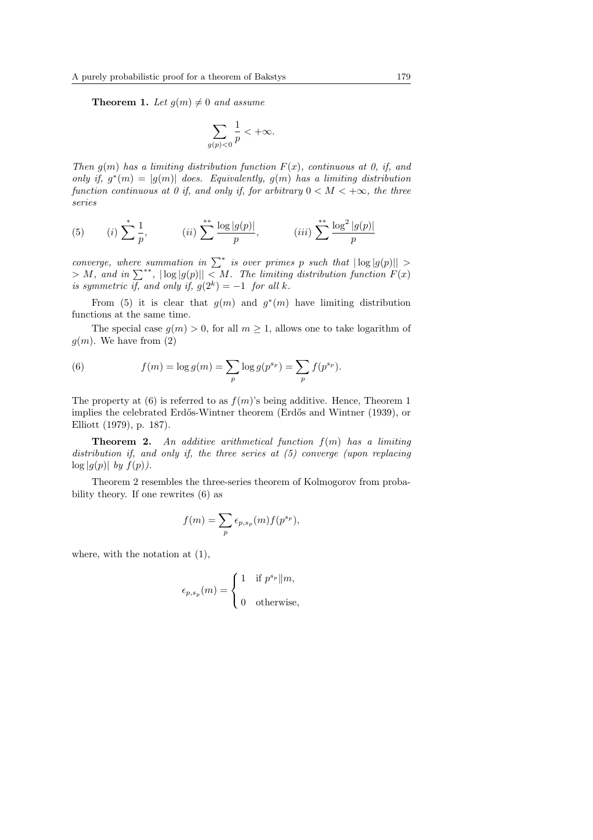**Theorem 1.** Let  $q(m) \neq 0$  and assume

$$
\sum_{g(p)<0}\frac{1}{p}<+\infty.
$$

Then  $q(m)$  has a limiting distribution function  $F(x)$ , continuous at 0, if, and only if,  $g^*(m) = |g(m)|$  does. Equivalently,  $g(m)$  has a limiting distribution function continuous at 0 if, and only if, for arbitrary  $0 < M < +\infty$ , the three series

(5) (i) 
$$
\sum_{p=1}^{\infty} \frac{1}{p}
$$
, (ii)  $\sum_{p=1}^{\infty} \frac{\log |g(p)|}{p}$ , (iii)  $\sum_{p=1}^{\infty} \frac{\log^2 |g(p)|}{p}$ 

converge, where summation in  $\sum^*$  is over primes p such that  $|\log |g(p)|| >$  $\text{converge}, \text{ where summation in } \sum_{k}^{n} s_k \text{ over primes } p \text{ such that } |\log |g(p)|| > \sum_{k} M, \text{ and in } \sum_{k}^{n} s_k, |\log |g(p)|| < M.$  The limiting distribution function  $F(x)$ is symmetric if, and only if,  $g(2^k) = -1$  for all k.

From (5) it is clear that  $g(m)$  and  $g^*(m)$  have limiting distribution functions at the same time.

The special case  $g(m) > 0$ , for all  $m \geq 1$ , allows one to take logarithm of  $q(m)$ . We have from  $(2)$ 

(6) 
$$
f(m) = \log g(m) = \sum_{p} \log g(p^{s_p}) = \sum_{p} f(p^{s_p}).
$$

The property at (6) is referred to as  $f(m)$ 's being additive. Hence, Theorem 1 implies the celebrated Erdős-Wintner theorem (Erdős and Wintner (1939), or Elliott (1979), p. 187).

**Theorem 2.** An additive arithmetical function  $f(m)$  has a limiting distribution if, and only if, the three series at (5) converge (upon replacing  $\log |g(p)|$  by  $f(p)$ ).

Theorem 2 resembles the three-series theorem of Kolmogorov from probability theory. If one rewrites (6) as

$$
f(m) = \sum_{p} \epsilon_{p,s_p}(m) f(p^{s_p}),
$$

where, with the notation at (1),

$$
\epsilon_{p,s_p}(m) = \begin{cases} 1 & \text{if } p^{s_p} \Vert m, \\ 0 & \text{otherwise,} \end{cases}
$$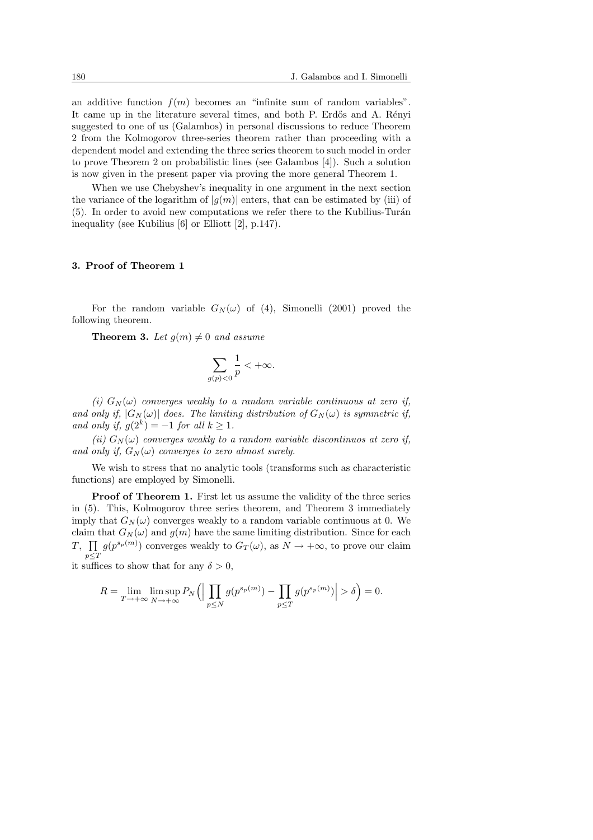an additive function  $f(m)$  becomes an "infinite sum of random variables". It came up in the literature several times, and both P. Erdős and A. Rényi suggested to one of us (Galambos) in personal discussions to reduce Theorem 2 from the Kolmogorov three-series theorem rather than proceeding with a dependent model and extending the three series theorem to such model in order to prove Theorem 2 on probabilistic lines (see Galambos [4]). Such a solution is now given in the present paper via proving the more general Theorem 1.

When we use Chebyshev's inequality in one argument in the next section the variance of the logarithm of  $|g(m)|$  enters, that can be estimated by (iii) of  $(5)$ . In order to avoid new computations we refer there to the Kubilius-Turán inequality (see Kubilius [6] or Elliott [2], p.147).

#### 3. Proof of Theorem 1

For the random variable  $G_N(\omega)$  of (4), Simonelli (2001) proved the following theorem.

**Theorem 3.** Let  $g(m) \neq 0$  and assume

$$
\sum_{g(p)<0}\frac{1}{p}<+\infty.
$$

(i)  $G_N(\omega)$  converges weakly to a random variable continuous at zero if, and only if,  $|G_N(\omega)|$  does. The limiting distribution of  $G_N(\omega)$  is symmetric if, and only if,  $g(2^k) = -1$  for all  $k \ge 1$ .

(ii)  $G_N(\omega)$  converges weakly to a random variable discontinuos at zero if, and only if,  $G_N(\omega)$  converges to zero almost surely.

We wish to stress that no analytic tools (transforms such as characteristic functions) are employed by Simonelli.

Proof of Theorem 1. First let us assume the validity of the three series in (5). This, Kolmogorov three series theorem, and Theorem 3 immediately imply that  $G_N(\omega)$  converges weakly to a random variable continuous at 0. We claim that  $G_N(\omega)$  and  $g(m)$  have the same limiting distribution. Since for each T,  $\prod g(p^{s_p(m)})$  converges weakly to  $G_T(\omega)$ , as  $N \to +\infty$ , to prove our claim  $p \leq T$ 

it suffices to show that for any  $\delta > 0$ ,

$$
R = \lim_{T \to +\infty} \limsup_{N \to +\infty} P_N \left( \left| \prod_{p \le N} g(p^{s_p(m)}) - \prod_{p \le T} g(p^{s_p(m)}) \right| > \delta \right) = 0.
$$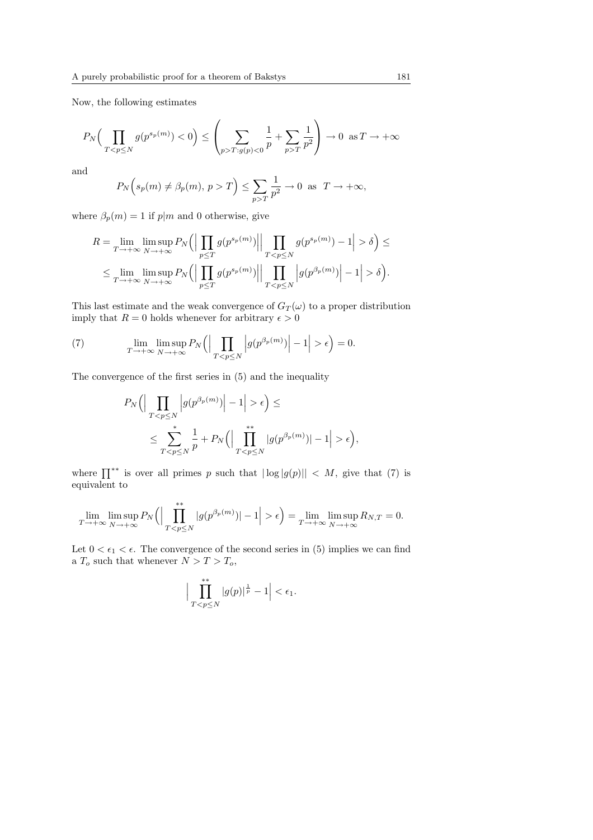Now, the following estimates

$$
P_N\Big(\prod_{TT:g(p)<0}\frac{1}{p}+\sum_{p>T}\frac{1}{p^2}\right)\to 0\ \text{ as }T\to+\infty
$$

and

$$
P_N(s_p(m) \neq \beta_p(m), p > T) \le \sum_{p > T} \frac{1}{p^2} \to 0 \text{ as } T \to +\infty,
$$

where  $\beta_p(m) = 1$  if  $p|m$  and 0 otherwise, give

$$
R = \lim_{T \to +\infty} \limsup_{N \to +\infty} P_N \Big( \Big| \prod_{p \le T} g(p^{s_p(m)}) \Big| \Big| \prod_{T < p \le N} g(p^{s_p(m)}) - 1 \Big| > \delta \Big) \le
$$
\n
$$
\le \lim_{T \to +\infty} \limsup_{N \to +\infty} P_N \Big( \Big| \prod_{p \le T} g(p^{s_p(m)}) \Big| \Big| \prod_{T < p \le N} \Big| g(p^{\beta_p(m)}) \Big| - 1 \Big| > \delta \Big).
$$

This last estimate and the weak convergence of  $G_T(\omega)$  to a proper distribution imply that  $R = 0$  holds whenever for arbitrary  $\epsilon > 0$ 

(7) 
$$
\lim_{T \to +\infty} \lim_{N \to +\infty} P_N \left( \left| \prod_{T < p \le N} \left| g(p^{\beta_p(m)}) \right| - 1 \right| > \epsilon \right) = 0.
$$

The convergence of the first series in (5) and the inequality

$$
P_N\Big(\Big|\prod_{T\epsilon\Big) \leq
$$
  

$$
\leq \sum_{T\epsilon\Big),
$$

where  $\prod^{**}$  is over all primes p such that  $|\log |g(p)|| < M$ , give that (7) is equivalent to

$$
\lim_{T \to +\infty} \limsup_{N \to +\infty} P_N \left( \left| \prod_{T < p \le N}^{**} |g(p^{\beta_p(m)})| - 1 \right| > \epsilon \right) = \lim_{T \to +\infty} \limsup_{N \to +\infty} R_{N,T} = 0.
$$

Let  $0 < \epsilon_1 < \epsilon$ . The convergence of the second series in (5) implies we can find a  $T_o$  such that whenever  $N > T > T_o$ ,

$$
\Big|\prod_{T
$$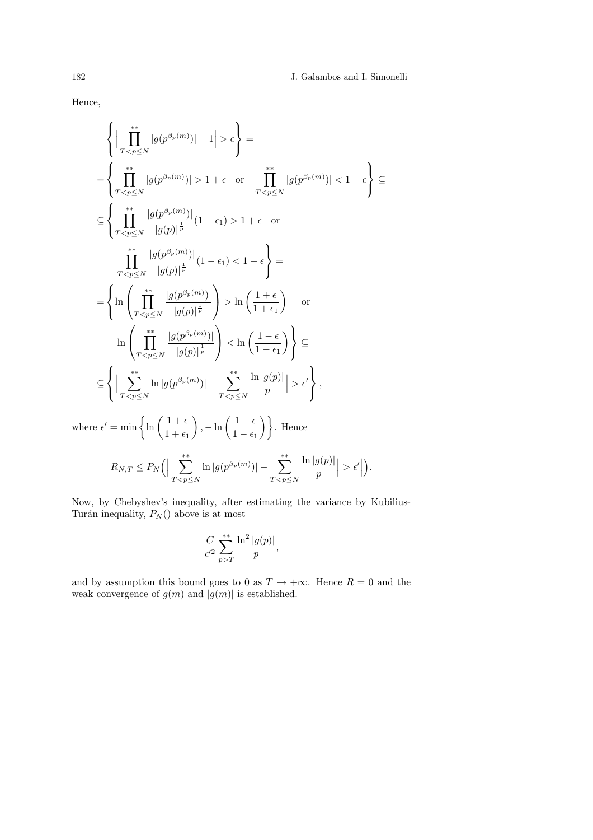Hence,

$$
\left\{\Big|\prod_{T\epsilon\right\}=\n\left\{\prod_{T1+\epsilon \text{ or } \prod_{T1+\epsilon \text{ or } \prod_{T1+\epsilon \text{ or } \prod_{T \ln\left(\frac{1+\epsilon}{1+\epsilon_1}\right) \text{ or } \ln\left(\prod_{T \ln\left(\frac{1+\epsilon}{1+\epsilon_1}\right)\n\left\{\sum_{T\epsilon'\right\},\n\text{where }\epsilon'=\min\left\{\ln\left(\frac{1+\epsilon}{1+\epsilon_1}\right),-\ln\left(\frac{1-\epsilon}{1-\epsilon_1}\right)\right\}. \text{ Hence } \left\{R_{N,T}\leq P_N\left(\Big|\sum_{T\epsilon'\right\}.
$$

Now, by Chebyshev's inequality, after estimating the variance by Kubilius-Turán inequality,  $P_N()$  above is at most

$$
\frac{C}{\epsilon'^2} \sum_{p>T}^{**} \frac{\ln^2 |g(p)|}{p},
$$

and by assumption this bound goes to 0 as  $T \to +\infty$ . Hence  $R = 0$  and the weak convergence of  $g(m)$  and  $|g(m)|$  is established.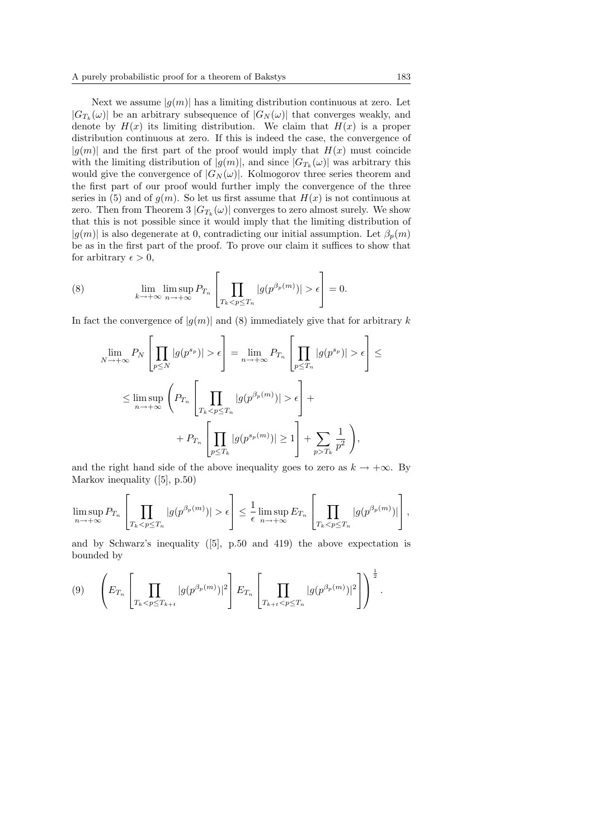Next we assume  $|q(m)|$  has a limiting distribution continuous at zero. Let  $|G_{T_k}(\omega)|$  be an arbitrary subsequence of  $|G_N(\omega)|$  that converges weakly, and denote by  $H(x)$  its limiting distribution. We claim that  $H(x)$  is a proper distribution continuous at zero. If this is indeed the case, the convergence of  $|g(m)|$  and the first part of the proof would imply that  $H(x)$  must coincide with the limiting distribution of  $|g(m)|$ , and since  $|G_{T_k}(\omega)|$  was arbitrary this would give the convergence of  $|G_N(\omega)|$ . Kolmogorov three series theorem and the first part of our proof would further imply the convergence of the three series in (5) and of  $g(m)$ . So let us first assume that  $H(x)$  is not continuous at zero. Then from Theorem 3  $|G_{T_k}(\omega)|$  converges to zero almost surely. We show that this is not possible since it would imply that the limiting distribution of  $|g(m)|$  is also degenerate at 0, contradicting our initial assumption. Let  $\beta_p(m)$ be as in the first part of the proof. To prove our claim it suffices to show that for arbitrary  $\epsilon > 0$ ,

(8) 
$$
\lim_{k \to +\infty} \lim_{n \to +\infty} P_{T_n} \left[ \prod_{T_k < p \le T_n} |g(p^{\beta_p(m)})| > \epsilon \right] = 0.
$$

In fact the convergence of  $|g(m)|$  and (8) immediately give that for arbitrary k

$$
\lim_{N \to +\infty} P_N \left[ \prod_{p \le N} |g(p^{s_p})| > \epsilon \right] = \lim_{n \to +\infty} P_{T_n} \left[ \prod_{p \le T_n} |g(p^{s_p})| > \epsilon \right] \le
$$
  

$$
\le \limsup_{n \to +\infty} \left( P_{T_n} \left[ \prod_{T_k < p \le T_n} |g(p^{\beta_p(m)})| > \epsilon \right] +
$$
  

$$
+ P_{T_n} \left[ \prod_{p \le T_k} |g(p^{s_p(m)})| \ge 1 \right] + \sum_{p > T_k} \frac{1}{p^2} \right),
$$

and the right hand side of the above inequality goes to zero as  $k \to +\infty$ . By Markov inequality ([5], p.50)

$$
\limsup_{n\to+\infty} P_{T_n}\left[\prod_{T_k\epsilon\right]\leq \frac{1}{\epsilon}\limsup_{n\to+\infty} E_{T_n}\left[\prod_{T_k
$$

and by Schwarz's inequality  $(5)$ , p.50 and 419) the above expectation is bounded by

$$
(9) \qquad \left(E_{T_n}\left[\prod_{T_k < p \le T_{k+t}} |g(p^{\beta_p(m)})|^2\right] E_{T_n}\left[\prod_{T_{k+t} < p \le T_n} |g(p^{\beta_p(m)})|^2\right]\right)^{\frac{1}{2}}.
$$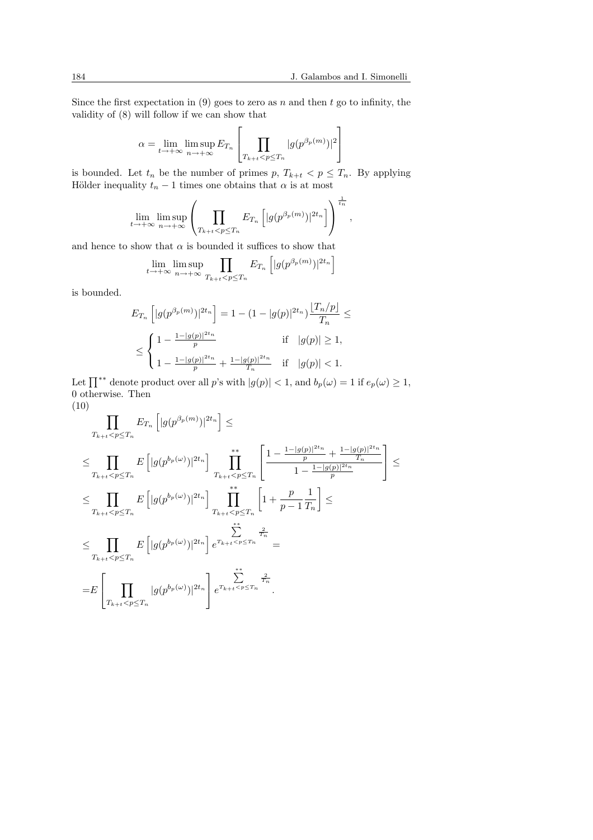Since the first expectation in (9) goes to zero as  $n$  and then  $t$  go to infinity, the validity of (8) will follow if we can show that  $\overline{a}$ 

$$
\alpha = \lim_{t \to +\infty} \limsup_{n \to +\infty} E_{T_n} \left[ \prod_{T_{k+t} < p \le T_n} |g(p^{\beta_p(m)})|^2 \right]
$$

is bounded. Let  $t_n$  be the number of primes p,  $T_{k+t} < p \leq T_n$ . By applying Hölder inequality  $t_n - 1$  times one obtains that  $\alpha$  is at most

$$
\lim_{t\to+\infty}\limsup_{n\to+\infty}\left(\prod_{T_{k+t}
$$

and hence to show that  $\alpha$  is bounded it suffices to show that

$$
\lim_{t \to +\infty} \limsup_{n \to +\infty} \prod_{T_{k+t} < p \le T_n} E_{T_n} \left[ |g(p^{\beta_p(m)})|^{2t_n} \right]
$$

is bounded.

$$
E_{T_n} \left[ |g(p^{\beta_p(m)})|^{2t_n} \right] = 1 - (1 - |g(p)|^{2t_n}) \frac{|T_n/p|}{T_n} \le
$$
  

$$
\le \begin{cases} 1 - \frac{1 - |g(p)|^{2t_n}}{p} & \text{if } |g(p)| \ge 1, \\ 1 - \frac{1 - |g(p)|^{2t_n}}{p} + \frac{1 - |g(p)|^{2t_n}}{T_n} & \text{if } |g(p)| < 1. \end{cases}
$$

Let  $\prod^{**}$  denote product over all p's with  $|g(p)| < 1$ , and  $b_p(\omega) = 1$  if  $e_p(\omega) \ge 1$ , 0 otherwise. Then (10)

$$
\prod_{T_{k+t} < p \le T_n} E_{T_n} \left[ |g(p^{\beta_p(m)})|^{2t_n} \right] \le
$$
\n
$$
\le \prod_{T_{k+t} < p \le T_n} E \left[ |g(p^{b_p(\omega)})|^{2t_n} \right] \prod_{T_{k+t} < p \le T_n}^{**} \left[ \frac{1 - \frac{1 - |g(p)|^{2t_n}}{p} + \frac{1 - |g(p)|^{2t_n}}{T_n}}{1 - \frac{1 - |g(p)|^{2t_n}}{p}} \right] \le
$$
\n
$$
\le \prod_{T_{k+t} < p \le T_n} E \left[ |g(p^{b_p(\omega)})|^{2t_n} \right] \prod_{T_{k+t} < p \le T_n}^{**} \left[ 1 + \frac{p}{p-1} \frac{1}{T_n} \right] \le
$$
\n
$$
\le \prod_{T_{k+t} < p \le T_n} E \left[ |g(p^{b_p(\omega)})|^{2t_n} \right] e^{T_{k+t} < p \le T_n} =
$$
\n
$$
= E \left[ \prod_{T_{k+t} < p \le T_n} |g(p^{b_p(\omega)})|^{2t_n} \right] e^{T_{k+t} < p \le T_n} \prod_{T_n}^{**} e^{T_n}
$$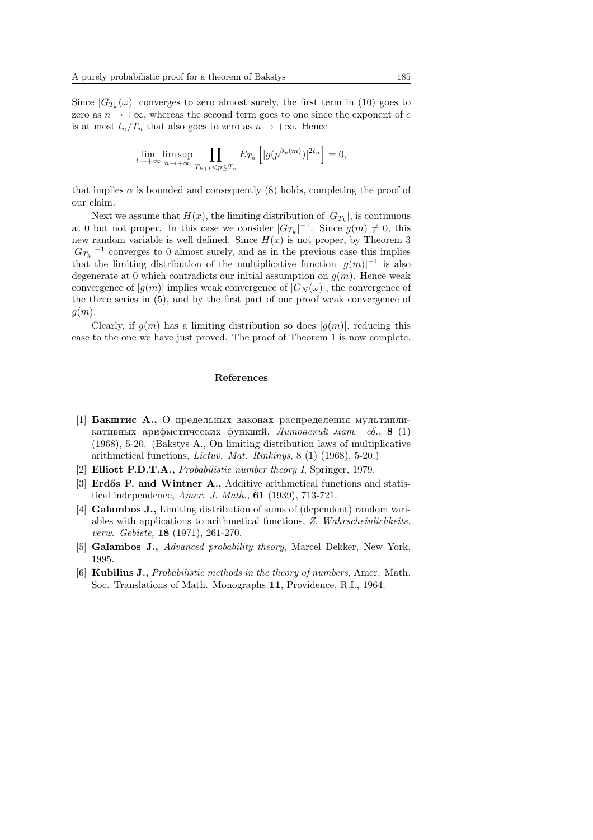Since  $|G_{T_k}(\omega)|$  converges to zero almost surely, the first term in (10) goes to zero as  $n \to +\infty$ , whereas the second term goes to one since the exponent of e is at most  $t_n/T_n$  that also goes to zero as  $n \to +\infty$ . Hence

$$
\lim_{t \to +\infty} \limsup_{n \to +\infty} \prod_{T_{k+t} < p \le T_n} E_{T_n} \left[ |g(p^{\beta_p(m)})|^{2t_n} \right] = 0,
$$

that implies  $\alpha$  is bounded and consequently (8) holds, completing the proof of our claim.

Next we assume that  $H(x)$ , the limiting distribution of  $|G_{T_k}|$ , is continuous at 0 but not proper. In this case we consider  $|G_{T_k}|^{-1}$ . Since  $g(m) \neq 0$ , this new random variable is well defined. Since  $H(x)$  is not proper, by Theorem 3  $|G_{T_k}|^{-1}$  converges to 0 almost surely, and as in the previous case this implies that the limiting distribution of the multiplicative function  $|g(m)|^{-1}$  is also degenerate at 0 which contradicts our initial assumption on  $g(m)$ . Hence weak convergence of  $|q(m)|$  implies weak convergence of  $|G_N(\omega)|$ , the convergence of the three series in (5), and by the first part of our proof weak convergence of  $g(m)$ .

Clearly, if  $q(m)$  has a limiting distribution so does  $|q(m)|$ , reducing this case to the one we have just proved. The proof of Theorem 1 is now complete.

#### References

- [1] **Бакштис А.,** О предельных законах распределения мультипликативных арифметических функций, Литовский мат.  $c\delta$ ., 8 (1) (1968), 5-20. (Bakstys A., On limiting distribution laws of multiplicative arithmetical functions, *Lietuv. Mat. Rinkinys*,  $8(1)(1968)$ , 5-20.)
- [2] Elliott P.D.T.A., Probabilistic number theory I, Springer, 1979.
- [3] **Erdős P. and Wintner A.,** Additive arithmetical functions and statistical independence, *Amer. J. Math.*,  $61$  (1939), 713-721.
- [4] Galambos J., Limiting distribution of sums of (dependent) random variables with applications to arithmetical functions, Z. Wahrscheinlichkeits. verw. Gebiete, 18 (1971), 261-270.
- [5] Galambos J., *Advanced probability theory*, Marcel Dekker, New York, 1995.
- [6] Kubilius J., Probabilistic methods in the theory of numbers, Amer. Math. Soc. Translations of Math. Monographs 11, Providence, R.I., 1964.